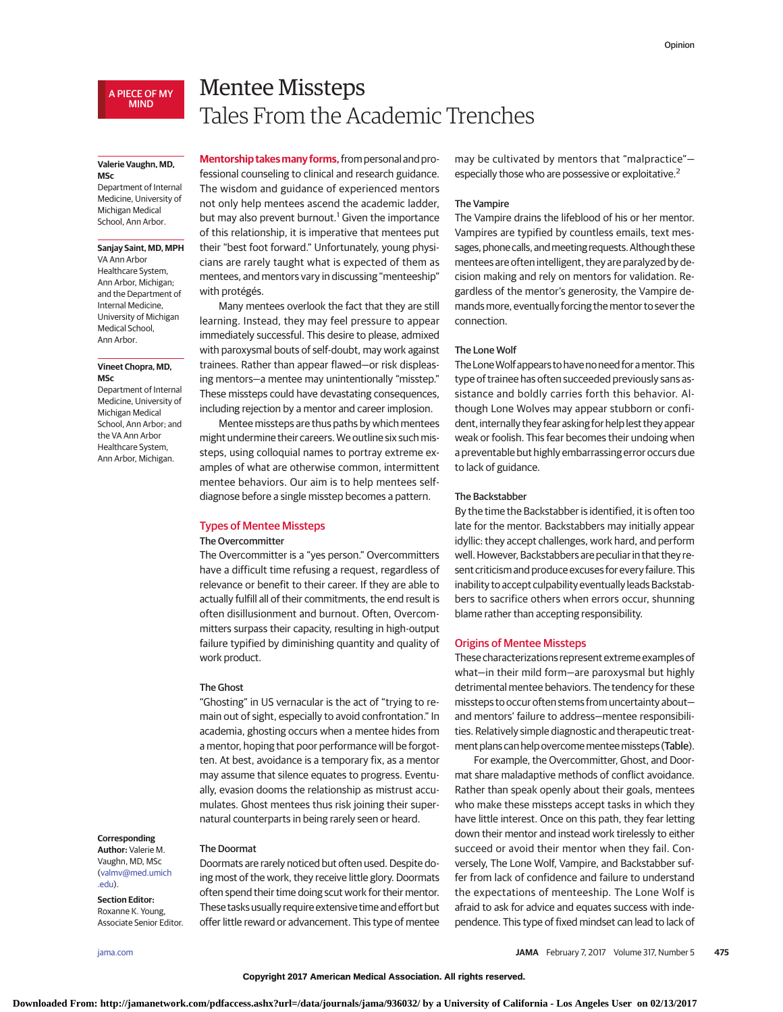# A PIECE OF MY MIND

# Mentee Missteps Tales From the Academic Trenches

#### **Valerie Vaughn, MD, MSc**

Department of Internal Medicine, University of Michigan Medical School, Ann Arbor.

# **Sanjay Saint, MD, MPH**

VA Ann Arbor Healthcare System, Ann Arbor, Michigan; and the Department of Internal Medicine, University of Michigan Medical School, Ann Arbor.

## **Vineet Chopra, MD, MSc**

Department of Internal Medicine, University of Michigan Medical School, Ann Arbor; and the VA Ann Arbor Healthcare System, Ann Arbor, Michigan.

**Mentorship takesmany forms,**from personal and professional counseling to clinical and research guidance. The wisdom and guidance of experienced mentors not only help mentees ascend the academic ladder, but may also prevent burnout.<sup>1</sup> Given the importance of this relationship, it is imperative that mentees put their "best foot forward." Unfortunately, young physicians are rarely taught what is expected of them as mentees, and mentors vary in discussing "menteeship"

Many mentees overlook the fact that they are still learning. Instead, they may feel pressure to appear immediately successful. This desire to please, admixed with paroxysmal bouts of self-doubt, may work against trainees. Rather than appear flawed—or risk displeasing mentors—a mentee may unintentionally "misstep." These missteps could have devastating consequences, including rejection by a mentor and career implosion.

Mentee missteps are thus paths by which mentees might undermine their careers.We outline six such missteps, using colloquial names to portray extreme examples of what are otherwise common, intermittent mentee behaviors. Our aim is to help mentees selfdiagnose before a single misstep becomes a pattern.

# Types of Mentee Missteps

# The Overcommitter

with protégés.

The Overcommitter is a "yes person." Overcommitters have a difficult time refusing a request, regardless of relevance or benefit to their career. If they are able to actually fulfill all of their commitments, the end result is often disillusionment and burnout. Often, Overcommitters surpass their capacity, resulting in high-output failure typified by diminishing quantity and quality of work product.

## The Ghost

"Ghosting" in US vernacular is the act of "trying to remain out of sight, especially to avoid confrontation." In academia, ghosting occurs when a mentee hides from a mentor, hoping that poor performance will be forgotten. At best, avoidance is a temporary fix, as a mentor may assume that silence equates to progress. Eventually, evasion dooms the relationship as mistrust accumulates. Ghost mentees thus risk joining their supernatural counterparts in being rarely seen or heard.

Doormats are rarely noticed but often used. Despite doing most of the work, they receive little glory. Doormats often spend their time doing scut work for their mentor. These tasks usually require extensive time and effort but offer little reward or advancement. This type of mentee

#### The Doormat **Corresponding Author:** Valerie M.

Vaughn, MD, MSc [\(valmv@med.umich](mailto:valmv@med.umich.edu) [.edu\)](mailto:valmv@med.umich.edu).

**Section Editor:** Roxanne K. Young, Associate Senior Editor.

# may be cultivated by mentors that "malpractice" especially those who are possessive or exploitative.<sup>2</sup>

# The Vampire

The Vampire drains the lifeblood of his or her mentor. Vampires are typified by countless emails, text messages, phone calls, and meeting requests. Although these mentees are often intelligent, they are paralyzed by decision making and rely on mentors for validation. Regardless of the mentor's generosity, the Vampire demands more, eventually forcing the mentor to sever the connection.

# The Lone Wolf

The Lone Wolf appears to have no need for a mentor. This type of trainee has often succeeded previously sans assistance and boldly carries forth this behavior. Although Lone Wolves may appear stubborn or confident, internally they fear asking for help lest they appear weak or foolish. This fear becomes their undoing when a preventable but highly embarrassing error occurs due to lack of guidance.

# The Backstabber

By the time the Backstabber is identified, it is often too late for the mentor. Backstabbers may initially appear idyllic: they accept challenges, work hard, and perform well. However, Backstabbers are peculiar in that they resent criticism and produce excuses for every failure. This inability to accept culpability eventually leads Backstabbers to sacrifice others when errors occur, shunning blame rather than accepting responsibility.

# Origins of Mentee Missteps

These characterizations represent extreme examples of what—in their mild form—are paroxysmal but highly detrimental mentee behaviors. The tendency for these missteps to occur often stems from uncertainty about and mentors' failure to address—mentee responsibilities. Relatively simple diagnostic and therapeutic treatment plans can help overcome mentee missteps (Table).

For example, the Overcommitter, Ghost, and Doormat share maladaptive methods of conflict avoidance. Rather than speak openly about their goals, mentees who make these missteps accept tasks in which they have little interest. Once on this path, they fear letting down their mentor and instead work tirelessly to either succeed or avoid their mentor when they fail. Conversely, The Lone Wolf, Vampire, and Backstabber suffer from lack of confidence and failure to understand the expectations of menteeship. The Lone Wolf is afraid to ask for advice and equates success with independence. This type of fixed mindset can lead to lack of